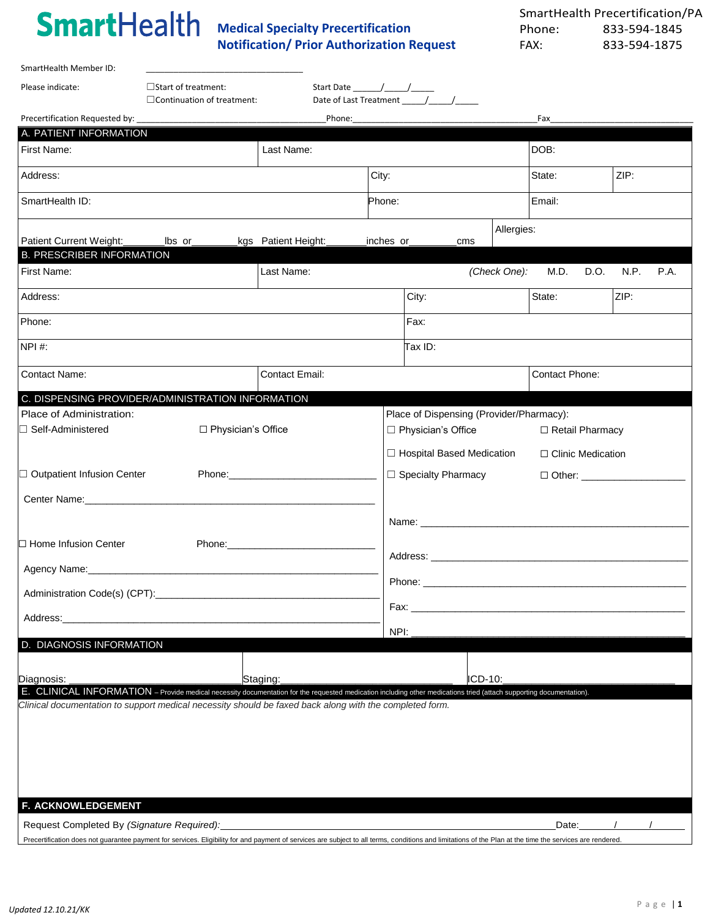SmartHealth Member ID:

**Medical Specialty Precertification Notification/ Prior Authorization Request**

| Please indicate:                                                                                                                                                                                          | $\Box$ Start of treatment:        | Start Date $/$ /                                                                                                                                                                                                               |           |                                          |            |                        |      |                              |
|-----------------------------------------------------------------------------------------------------------------------------------------------------------------------------------------------------------|-----------------------------------|--------------------------------------------------------------------------------------------------------------------------------------------------------------------------------------------------------------------------------|-----------|------------------------------------------|------------|------------------------|------|------------------------------|
|                                                                                                                                                                                                           | $\Box$ Continuation of treatment: |                                                                                                                                                                                                                                |           |                                          |            |                        |      |                              |
| Precertification Requested by: __                                                                                                                                                                         |                                   |                                                                                                                                                                                                                                |           |                                          |            | Fax                    |      |                              |
| A. PATIENT INFORMATION<br>First Name:                                                                                                                                                                     |                                   | Last Name:                                                                                                                                                                                                                     |           |                                          |            | DOB:                   |      |                              |
| Address:                                                                                                                                                                                                  |                                   |                                                                                                                                                                                                                                | City:     |                                          |            | State:                 | ZIP: |                              |
| SmartHealth ID:                                                                                                                                                                                           |                                   |                                                                                                                                                                                                                                | Phone:    |                                          |            | Email:                 |      |                              |
| Patient Current Weight:                                                                                                                                                                                   | <u>lbs or</u>                     | kgs Patient Height:                                                                                                                                                                                                            | inches or | cms                                      | Allergies: |                        |      |                              |
| <b>B. PRESCRIBER INFORMATION</b>                                                                                                                                                                          |                                   |                                                                                                                                                                                                                                |           |                                          |            |                        |      |                              |
| First Name:                                                                                                                                                                                               |                                   | Last Name:                                                                                                                                                                                                                     |           |                                          |            | (Check One): M.D. D.O. | N.P. | P.A.                         |
| Address:                                                                                                                                                                                                  |                                   |                                                                                                                                                                                                                                |           | City:                                    |            | State:                 | ZIP: |                              |
| Phone:                                                                                                                                                                                                    |                                   |                                                                                                                                                                                                                                |           | Fax:                                     |            |                        |      |                              |
| NPI #:                                                                                                                                                                                                    |                                   |                                                                                                                                                                                                                                |           | Tax ID:                                  |            |                        |      |                              |
| <b>Contact Name:</b>                                                                                                                                                                                      |                                   | <b>Contact Email:</b>                                                                                                                                                                                                          |           |                                          |            | <b>Contact Phone:</b>  |      |                              |
| C. DISPENSING PROVIDER/ADMINISTRATION INFORMATION                                                                                                                                                         |                                   |                                                                                                                                                                                                                                |           |                                          |            |                        |      |                              |
| Place of Administration:                                                                                                                                                                                  |                                   |                                                                                                                                                                                                                                |           | Place of Dispensing (Provider/Pharmacy): |            |                        |      |                              |
| $\Box$ Self-Administered                                                                                                                                                                                  | □ Physician's Office              |                                                                                                                                                                                                                                |           | □ Physician's Office                     |            | □ Retail Pharmacy      |      |                              |
|                                                                                                                                                                                                           |                                   |                                                                                                                                                                                                                                |           | □ Hospital Based Medication              |            | □ Clinic Medication    |      |                              |
| □ Outpatient Infusion Center                                                                                                                                                                              |                                   |                                                                                                                                                                                                                                |           | $\Box$ Specialty Pharmacy                |            | □ Other: ____________  |      |                              |
| Center Name: 2008 2009 2010 2020 2020 2020 2021 2021 2022 2021 2022 2021 2022 2022 2021 2022 2021 2022 2022 20                                                                                            |                                   |                                                                                                                                                                                                                                |           |                                          |            |                        |      |                              |
|                                                                                                                                                                                                           |                                   |                                                                                                                                                                                                                                |           |                                          |            |                        |      |                              |
| □ Home Infusion Center                                                                                                                                                                                    |                                   | Phone: The Committee of the Committee of the Committee of the Committee of the Committee of the Committee of the Committee of the Committee of the Committee of the Committee of the Committee of the Committee of the Committ |           |                                          |            |                        |      |                              |
|                                                                                                                                                                                                           |                                   |                                                                                                                                                                                                                                |           |                                          |            |                        |      |                              |
|                                                                                                                                                                                                           |                                   |                                                                                                                                                                                                                                |           |                                          |            |                        |      |                              |
| Address:                                                                                                                                                                                                  |                                   |                                                                                                                                                                                                                                | Fax:      |                                          |            |                        |      |                              |
|                                                                                                                                                                                                           |                                   |                                                                                                                                                                                                                                | NPI:      |                                          |            |                        |      |                              |
| D. DIAGNOSIS INFORMATION                                                                                                                                                                                  |                                   |                                                                                                                                                                                                                                |           |                                          |            |                        |      |                              |
| Diagnosis:                                                                                                                                                                                                |                                   | Staging:                                                                                                                                                                                                                       |           | ICD-10:                                  |            |                        |      |                              |
| E. CLINICAL INFORMATION - Provide medical necessity documentation for the requested medication including other medications tried (attach supporting documentation).                                       |                                   |                                                                                                                                                                                                                                |           |                                          |            |                        |      |                              |
| Clinical documentation to support medical necessity should be faxed back along with the completed form.                                                                                                   |                                   |                                                                                                                                                                                                                                |           |                                          |            |                        |      |                              |
|                                                                                                                                                                                                           |                                   |                                                                                                                                                                                                                                |           |                                          |            |                        |      |                              |
|                                                                                                                                                                                                           |                                   |                                                                                                                                                                                                                                |           |                                          |            |                        |      |                              |
|                                                                                                                                                                                                           |                                   |                                                                                                                                                                                                                                |           |                                          |            |                        |      |                              |
|                                                                                                                                                                                                           |                                   |                                                                                                                                                                                                                                |           |                                          |            |                        |      |                              |
| F. ACKNOWLEDGEMENT                                                                                                                                                                                        |                                   |                                                                                                                                                                                                                                |           |                                          |            |                        |      |                              |
| Request Completed By (Signature Required):                                                                                                                                                                |                                   |                                                                                                                                                                                                                                |           |                                          |            |                        |      | Date: $\sqrt{1-\frac{1}{2}}$ |
| Precertification does not guarantee payment for services. Eligibility for and payment of services are subject to all terms, conditions and limitations of the Plan at the time the services are rendered. |                                   |                                                                                                                                                                                                                                |           |                                          |            |                        |      |                              |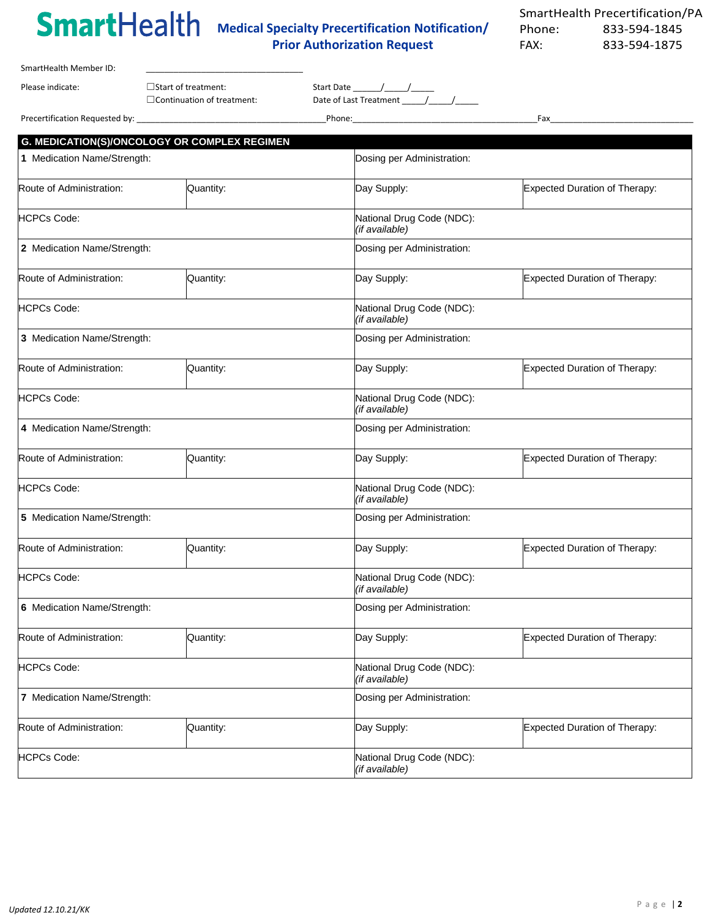# **Medical Specialty Precertification Notification/**

## **Prior Authorization Request**

| SmartHealth Member ID:         |                                                                 |                                      |     |  |
|--------------------------------|-----------------------------------------------------------------|--------------------------------------|-----|--|
| Please indicate:               | $\Box$ Start of treatment:<br>$\Box$ Continuation of treatment: | Start Date<br>Date of Last Treatment |     |  |
| Precertification Requested by: |                                                                 | Phone:                               | Fax |  |

| G. MEDICATION(S)/ONCOLOGY OR COMPLEX REGIMEN |           |                                             |                                      |  |  |  |
|----------------------------------------------|-----------|---------------------------------------------|--------------------------------------|--|--|--|
| 1 Medication Name/Strength:                  |           | Dosing per Administration:                  |                                      |  |  |  |
| Route of Administration:                     | Quantity: | Day Supply:                                 | <b>Expected Duration of Therapy:</b> |  |  |  |
| <b>HCPCs Code:</b>                           |           | National Drug Code (NDC):<br>(if available) |                                      |  |  |  |
| 2 Medication Name/Strength:                  |           | Dosing per Administration:                  |                                      |  |  |  |
| Route of Administration:                     | Quantity: | Day Supply:                                 | <b>Expected Duration of Therapy:</b> |  |  |  |
| <b>HCPCs Code:</b>                           |           | National Drug Code (NDC):<br>(if available) |                                      |  |  |  |
| 3 Medication Name/Strength:                  |           | Dosing per Administration:                  |                                      |  |  |  |
| Route of Administration:                     | Quantity: | Day Supply:                                 | <b>Expected Duration of Therapy:</b> |  |  |  |
| <b>HCPCs Code:</b>                           |           | National Drug Code (NDC):<br>(if available) |                                      |  |  |  |
| 4 Medication Name/Strength:                  |           | Dosing per Administration:                  |                                      |  |  |  |
| Route of Administration:                     | Quantity: | Day Supply:                                 | <b>Expected Duration of Therapy:</b> |  |  |  |
| <b>HCPCs Code:</b>                           |           | National Drug Code (NDC):<br>(if available) |                                      |  |  |  |
| 5 Medication Name/Strength:                  |           | Dosing per Administration:                  |                                      |  |  |  |
| Route of Administration:                     | Quantity: | Day Supply:                                 | <b>Expected Duration of Therapy:</b> |  |  |  |
| <b>HCPCs Code:</b>                           |           | National Drug Code (NDC):<br>(if available) |                                      |  |  |  |
| 6 Medication Name/Strength:                  |           | Dosing per Administration:                  |                                      |  |  |  |
| Route of Administration:                     | Quantity: | Day Supply:                                 | <b>Expected Duration of Therapy:</b> |  |  |  |
| <b>HCPCs Code:</b>                           |           | National Drug Code (NDC):<br>(if available) |                                      |  |  |  |
| 7 Medication Name/Strength:                  |           | Dosing per Administration:                  |                                      |  |  |  |
| Route of Administration:                     | Quantity: | Day Supply:                                 | <b>Expected Duration of Therapy:</b> |  |  |  |
| <b>HCPCs Code:</b>                           |           | National Drug Code (NDC):<br>(if available) |                                      |  |  |  |